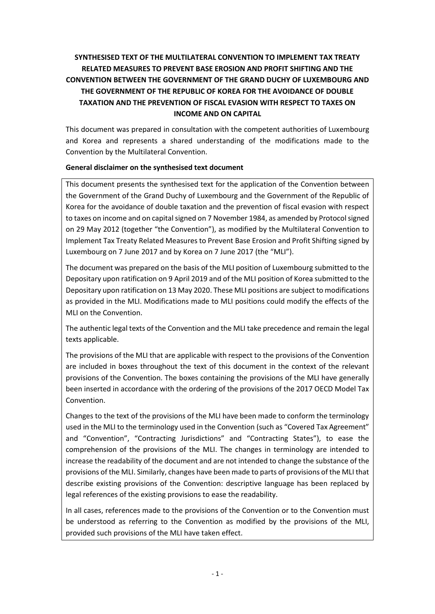# **SYNTHESISED TEXT OF THE MULTILATERAL CONVENTION TO IMPLEMENT TAX TREATY RELATED MEASURES TO PREVENT BASE EROSION AND PROFIT SHIFTING AND THE CONVENTION BETWEEN THE GOVERNMENT OF THE GRAND DUCHY OF LUXEMBOURG AND THE GOVERNMENT OF THE REPUBLIC OF KOREA FOR THE AVOIDANCE OF DOUBLE TAXATION AND THE PREVENTION OF FISCAL EVASION WITH RESPECT TO TAXES ON INCOME AND ON CAPITAL**

This document was prepared in consultation with the competent authorities of Luxembourg and Korea and represents a shared understanding of the modifications made to the Convention by the Multilateral Convention.

### **General disclaimer on the synthesised text document**

This document presents the synthesised text for the application of the Convention between the Government of the Grand Duchy of Luxembourg and the Government of the Republic of Korea for the avoidance of double taxation and the prevention of fiscal evasion with respect to taxes on income and on capital signed on 7 November 1984, as amended by Protocol signed on 29 May 2012 (together "the Convention"), as modified by the Multilateral Convention to Implement Tax Treaty Related Measures to Prevent Base Erosion and Profit Shifting signed by Luxembourg on 7 June 2017 and by Korea on 7 June 2017 (the "MLI").

The document was prepared on the basis of the MLI position of Luxembourg submitted to the Depositary upon ratification on 9 April 2019 and of the MLI position of Korea submitted to the Depositary upon ratification on 13 May 2020. These MLI positions are subject to modifications as provided in the MLI. Modifications made to MLI positions could modify the effects of the MLI on the Convention.

The authentic legal texts of the Convention and the MLI take precedence and remain the legal texts applicable.

The provisions of the MLI that are applicable with respect to the provisions of the Convention are included in boxes throughout the text of this document in the context of the relevant provisions of the Convention. The boxes containing the provisions of the MLI have generally been inserted in accordance with the ordering of the provisions of the 2017 OECD Model Tax Convention.

Changes to the text of the provisions of the MLI have been made to conform the terminology used in the MLI to the terminology used in the Convention (such as "Covered Tax Agreement" and "Convention", "Contracting Jurisdictions" and "Contracting States"), to ease the comprehension of the provisions of the MLI. The changes in terminology are intended to increase the readability of the document and are not intended to change the substance of the provisions of the MLI. Similarly, changes have been made to parts of provisions of the MLI that describe existing provisions of the Convention: descriptive language has been replaced by legal references of the existing provisions to ease the readability.

In all cases, references made to the provisions of the Convention or to the Convention must be understood as referring to the Convention as modified by the provisions of the MLI, provided such provisions of the MLI have taken effect.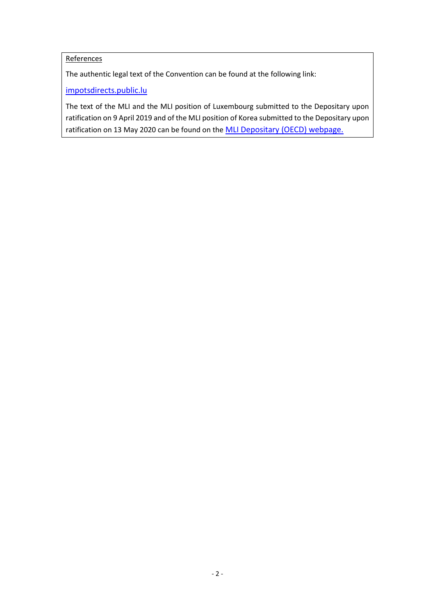# **References**

The authentic legal text of the Convention can be found at the following link:

[impotsdirects.public.lu](https://impotsdirects.public.lu/fr.html)

The text of the MLI and the MLI position of Luxembourg submitted to the Depositary upon ratification on 9 April 2019 and of the MLI position of Korea submitted to the Depositary upon ratification on 13 May 2020 can be found on the **MLI Depositary (OECD)** webpage.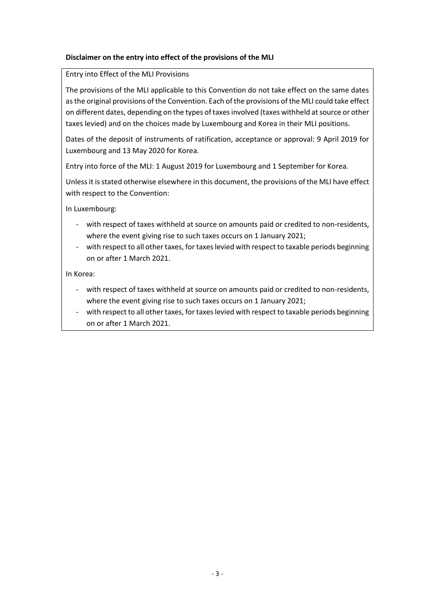# **Disclaimer on the entry into effect of the provisions of the MLI**

Entry into Effect of the MLI Provisions

The provisions of the MLI applicable to this Convention do not take effect on the same dates as the original provisions of the Convention. Each of the provisions of the MLI could take effect on different dates, depending on the types of taxes involved (taxes withheld at source or other taxes levied) and on the choices made by Luxembourg and Korea in their MLI positions.

Dates of the deposit of instruments of ratification, acceptance or approval: 9 April 2019 for Luxembourg and 13 May 2020 for Korea.

Entry into force of the MLI: 1 August 2019 for Luxembourg and 1 September for Korea.

Unless it is stated otherwise elsewhere in this document, the provisions of the MLI have effect with respect to the Convention:

In Luxembourg:

- with respect of taxes withheld at source on amounts paid or credited to non-residents, where the event giving rise to such taxes occurs on 1 January 2021;
- with respect to all other taxes, for taxes levied with respect to taxable periods beginning on or after 1 March 2021.

In Korea:

- with respect of taxes withheld at source on amounts paid or credited to non-residents, where the event giving rise to such taxes occurs on 1 January 2021;
- with respect to all other taxes, for taxes levied with respect to taxable periods beginning on or after 1 March 2021.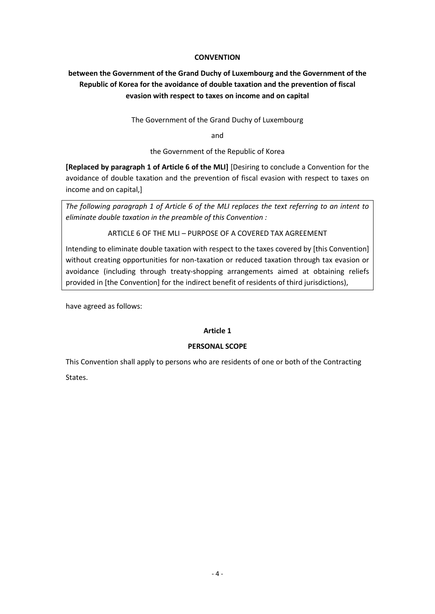### **CONVENTION**

# **between the Government of the Grand Duchy of Luxembourg and the Government of the Republic of Korea for the avoidance of double taxation and the prevention of fiscal evasion with respect to taxes on income and on capital**

The Government of the Grand Duchy of Luxembourg

and

the Government of the Republic of Korea

**[Replaced by paragraph 1 of Article 6 of the MLI]** [Desiring to conclude a Convention for the avoidance of double taxation and the prevention of fiscal evasion with respect to taxes on income and on capital,]

*The following paragraph 1 of Article 6 of the MLI replaces the text referring to an intent to eliminate double taxation in the preamble of this Convention :*

ARTICLE 6 OF THE MLI – PURPOSE OF A COVERED TAX AGREEMENT

Intending to eliminate double taxation with respect to the taxes covered by [this Convention] without creating opportunities for non-taxation or reduced taxation through tax evasion or avoidance (including through treaty-shopping arrangements aimed at obtaining reliefs provided in [the Convention] for the indirect benefit of residents of third jurisdictions),

have agreed as follows:

#### **Article 1**

#### **PERSONAL SCOPE**

This Convention shall apply to persons who are residents of one or both of the Contracting States.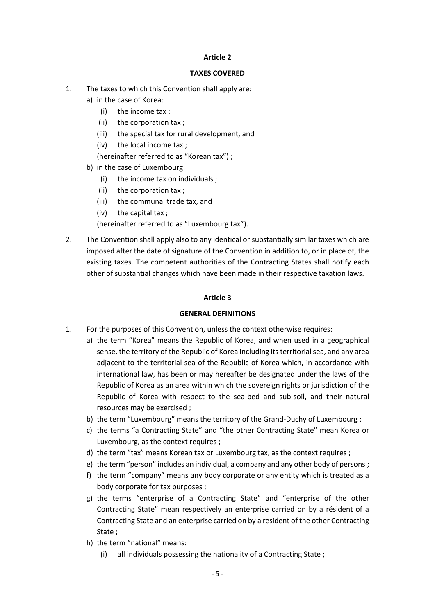#### **TAXES COVERED**

- 1. The taxes to which this Convention shall apply are:
	- a) in the case of Korea:
		- (i) the income tax ;
		- (ii) the corporation tax ;
		- (iii) the special tax for rural development, and
		- (iv) the local income tax ;

(hereinafter referred to as "Korean tax") ;

- b) in the case of Luxembourg:
	- (i) the income tax on individuals ;
	- (ii) the corporation tax ;
	- (iii) the communal trade tax, and
	- (iv) the capital tax ;

(hereinafter referred to as "Luxembourg tax").

2. The Convention shall apply also to any identical or substantially similar taxes which are imposed after the date of signature of the Convention in addition to, or in place of, the existing taxes. The competent authorities of the Contracting States shall notify each other of substantial changes which have been made in their respective taxation laws.

#### **Article 3**

#### **GENERAL DEFINITIONS**

- 1. For the purposes of this Convention, unless the context otherwise requires:
	- a) the term "Korea" means the Republic of Korea, and when used in a geographical sense, the territory of the Republic of Korea including its territorial sea, and any area adjacent to the territorial sea of the Republic of Korea which, in accordance with international law, has been or may hereafter be designated under the laws of the Republic of Korea as an area within which the sovereign rights or jurisdiction of the Republic of Korea with respect to the sea-bed and sub-soil, and their natural resources may be exercised ;
	- b) the term "Luxembourg" means the territory of the Grand-Duchy of Luxembourg ;
	- c) the terms "a Contracting State" and "the other Contracting State" mean Korea or Luxembourg, as the context requires ;
	- d) the term "tax" means Korean tax or Luxembourg tax, as the context requires ;
	- e) the term "person" includes an individual, a company and any other body of persons ;
	- f) the term "company" means any body corporate or any entity which is treated as a body corporate for tax purposes ;
	- g) the terms "enterprise of a Contracting State" and "enterprise of the other Contracting State" mean respectively an enterprise carried on by a résident of a Contracting State and an enterprise carried on by a resident of the other Contracting State:
	- h) the term "national" means:
		- (i) all individuals possessing the nationality of a Contracting State ;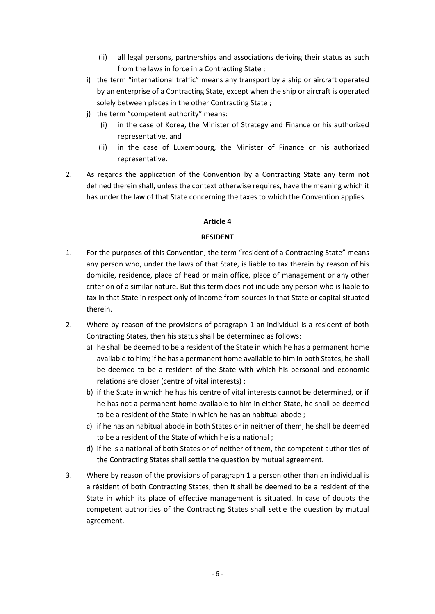- (ii) all legal persons, partnerships and associations deriving their status as such from the laws in force in a Contracting State ;
- i) the term "international traffic" means any transport by a ship or aircraft operated by an enterprise of a Contracting State, except when the ship or aircraft is operated solely between places in the other Contracting State ;
- j) the term "competent authority" means:
	- (i) in the case of Korea, the Minister of Strategy and Finance or his authorized representative, and
	- (ii) in the case of Luxembourg, the Minister of Finance or his authorized representative.
- 2. As regards the application of the Convention by a Contracting State any term not defined therein shall, unless the context otherwise requires, have the meaning which it has under the law of that State concerning the taxes to which the Convention applies.

### **RESIDENT**

- 1. For the purposes of this Convention, the term "resident of a Contracting State" means any person who, under the laws of that State, is liable to tax therein by reason of his domicile, residence, place of head or main office, place of management or any other criterion of a similar nature. But this term does not include any person who is liable to tax in that State in respect only of income from sources in that State or capital situated therein.
- 2. Where by reason of the provisions of paragraph 1 an individual is a resident of both Contracting States, then his status shall be determined as follows:
	- a) he shall be deemed to be a resident of the State in which he has a permanent home available to him; if he has a permanent home available to him in both States, he shall be deemed to be a resident of the State with which his personal and economic relations are closer (centre of vital interests) ;
	- b) if the State in which he has his centre of vital interests cannot be determined, or if he has not a permanent home available to him in either State, he shall be deemed to be a resident of the State in which he has an habitual abode ;
	- c) if he has an habitual abode in both States or in neither of them, he shall be deemed to be a resident of the State of which he is a national ;
	- d) if he is a national of both States or of neither of them, the competent authorities of the Contracting States shall settle the question by mutual agreement.
- 3. Where by reason of the provisions of paragraph 1 a person other than an individual is a résident of both Contracting States, then it shall be deemed to be a resident of the State in which its place of effective management is situated. In case of doubts the competent authorities of the Contracting States shall settle the question by mutual agreement.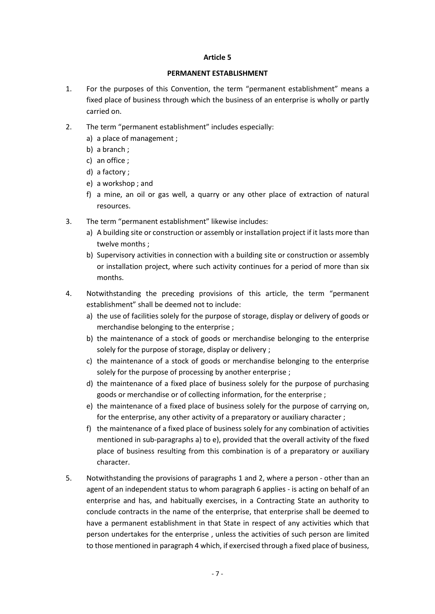#### **PERMANENT ESTABLISHMENT**

- 1. For the purposes of this Convention, the term "permanent establishment" means a fixed place of business through which the business of an enterprise is wholly or partly carried on.
- 2. The term "permanent establishment" includes especially:
	- a) a place of management ;
	- b) a branch ;
	- c) an office ;
	- d) a factory ;
	- e) a workshop ; and
	- f) a mine, an oil or gas well, a quarry or any other place of extraction of natural resources.
- 3. The term "permanent establishment" likewise includes:
	- a) A building site or construction or assembly or installation project if it lasts more than twelve months ;
	- b) Supervisory activities in connection with a building site or construction or assembly or installation project, where such activity continues for a period of more than six months.
- 4. Notwithstanding the preceding provisions of this article, the term "permanent establishment" shall be deemed not to include:
	- a) the use of facilities solely for the purpose of storage, display or delivery of goods or merchandise belonging to the enterprise ;
	- b) the maintenance of a stock of goods or merchandise belonging to the enterprise solely for the purpose of storage, display or delivery ;
	- c) the maintenance of a stock of goods or merchandise belonging to the enterprise solely for the purpose of processing by another enterprise ;
	- d) the maintenance of a fixed place of business solely for the purpose of purchasing goods or merchandise or of collecting information, for the enterprise ;
	- e) the maintenance of a fixed place of business solely for the purpose of carrying on, for the enterprise, any other activity of a preparatory or auxiliary character ;
	- f) the maintenance of a fixed place of business solely for any combination of activities mentioned in sub-paragraphs a) to e), provided that the overall activity of the fixed place of business resulting from this combination is of a preparatory or auxiliary character.
- 5. Notwithstanding the provisions of paragraphs 1 and 2, where a person other than an agent of an independent status to whom paragraph 6 applies - is acting on behalf of an enterprise and has, and habitually exercises, in a Contracting State an authority to conclude contracts in the name of the enterprise, that enterprise shall be deemed to have a permanent establishment in that State in respect of any activities which that person undertakes for the enterprise , unless the activities of such person are limited to those mentioned in paragraph 4 which, if exercised through a fixed place of business,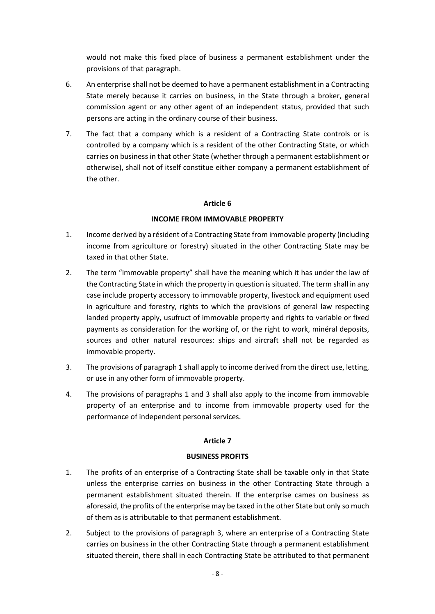would not make this fixed place of business a permanent establishment under the provisions of that paragraph.

- 6. An enterprise shall not be deemed to have a permanent establishment in a Contracting State merely because it carries on business, in the State through a broker, general commission agent or any other agent of an independent status, provided that such persons are acting in the ordinary course of their business.
- 7. The fact that a company which is a resident of a Contracting State controls or is controlled by a company which is a resident of the other Contracting State, or which carries on business in that other State (whether through a permanent establishment or otherwise), shall not of itself constitue either company a permanent establishment of the other.

### **Article 6**

# **INCOME FROM IMMOVABLE PROPERTY**

- 1. Income derived by a résident of a Contracting State from immovable property (including income from agriculture or forestry) situated in the other Contracting State may be taxed in that other State.
- 2. The term "immovable property" shall have the meaning which it has under the law of the Contracting State in which the property in question is situated. The term shall in any case include property accessory to immovable property, livestock and equipment used in agriculture and forestry, rights to which the provisions of general law respecting landed property apply, usufruct of immovable property and rights to variable or fixed payments as consideration for the working of, or the right to work, minéral deposits, sources and other natural resources: ships and aircraft shall not be regarded as immovable property.
- 3. The provisions of paragraph 1 shall apply to income derived from the direct use, letting, or use in any other form of immovable property.
- 4. The provisions of paragraphs 1 and 3 shall also apply to the income from immovable property of an enterprise and to income from immovable property used for the performance of independent personal services.

# **Article 7**

#### **BUSINESS PROFITS**

- 1. The profits of an enterprise of a Contracting State shall be taxable only in that State unless the enterprise carries on business in the other Contracting State through a permanent establishment situated therein. If the enterprise cames on business as aforesaid, the profits of the enterprise may be taxed in the other State but only so much of them as is attributable to that permanent establishment.
- 2. Subject to the provisions of paragraph 3, where an enterprise of a Contracting State carries on business in the other Contracting State through a permanent establishment situated therein, there shall in each Contracting State be attributed to that permanent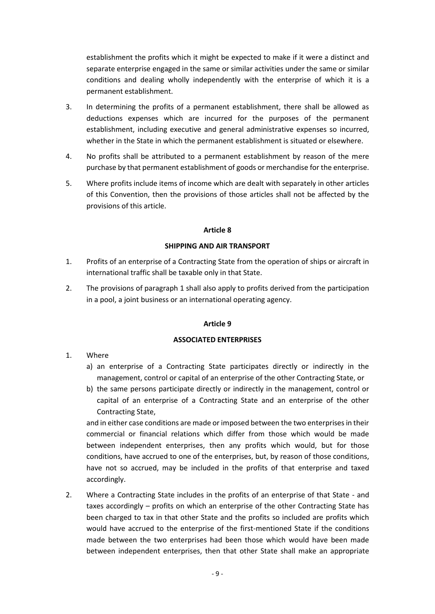establishment the profits which it might be expected to make if it were a distinct and separate enterprise engaged in the same or similar activities under the same or similar conditions and dealing wholly independently with the enterprise of which it is a permanent establishment.

- 3. In determining the profits of a permanent establishment, there shall be allowed as deductions expenses which are incurred for the purposes of the permanent establishment, including executive and general administrative expenses so incurred, whether in the State in which the permanent establishment is situated or elsewhere.
- 4. No profits shall be attributed to a permanent establishment by reason of the mere purchase by that permanent establishment of goods or merchandise for the enterprise.
- 5. Where profits include items of income which are dealt with separately in other articles of this Convention, then the provisions of those articles shall not be affected by the provisions of this article.

### **Article 8**

# **SHIPPING AND AIR TRANSPORT**

- 1. Profits of an enterprise of a Contracting State from the operation of ships or aircraft in international traffic shall be taxable only in that State.
- 2. The provisions of paragraph 1 shall also apply to profits derived from the participation in a pool, a joint business or an international operating agency.

# **Article 9**

# **ASSOCIATED ENTERPRISES**

- 1. Where
	- a) an enterprise of a Contracting State participates directly or indirectly in the management, control or capital of an enterprise of the other Contracting State, or
	- b) the same persons participate directly or indirectly in the management, control or capital of an enterprise of a Contracting State and an enterprise of the other Contracting State,

and in either case conditions are made or imposed between the two enterprises in their commercial or financial relations which differ from those which would be made between independent enterprises, then any profits which would, but for those conditions, have accrued to one of the enterprises, but, by reason of those conditions, have not so accrued, may be included in the profits of that enterprise and taxed accordingly.

2. Where a Contracting State includes in the profits of an enterprise of that State - and taxes accordingly – profits on which an enterprise of the other Contracting State has been charged to tax in that other State and the profits so included are profits which would have accrued to the enterprise of the first-mentioned State if the conditions made between the two enterprises had been those which would have been made between independent enterprises, then that other State shall make an appropriate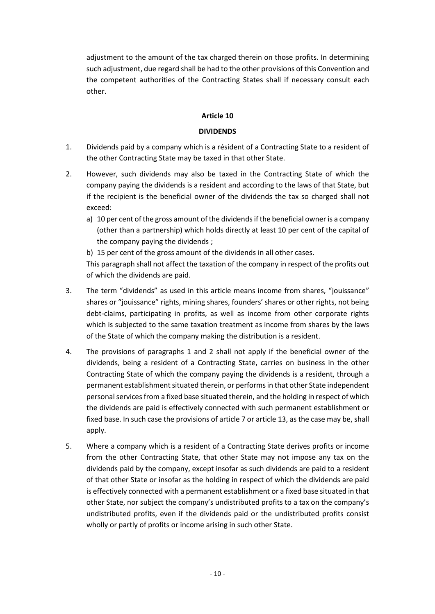adjustment to the amount of the tax charged therein on those profits. In determining such adjustment, due regard shall be had to the other provisions of this Convention and the competent authorities of the Contracting States shall if necessary consult each other.

# **Article 10**

# **DIVIDENDS**

- 1. Dividends paid by a company which is a résident of a Contracting State to a resident of the other Contracting State may be taxed in that other State.
- 2. However, such dividends may also be taxed in the Contracting State of which the company paying the dividends is a resident and according to the laws of that State, but if the recipient is the beneficial owner of the dividends the tax so charged shall not exceed:
	- a) 10 per cent of the gross amount of the dividends if the beneficial owner is a company (other than a partnership) which holds directly at least 10 per cent of the capital of the company paying the dividends ;
	- b) 15 per cent of the gross amount of the dividends in all other cases.

This paragraph shall not affect the taxation of the company in respect of the profits out of which the dividends are paid.

- 3. The term "dividends" as used in this article means income from shares, "jouissance" shares or "jouissance" rights, mining shares, founders' shares or other rights, not being debt-claims, participating in profits, as well as income from other corporate rights which is subjected to the same taxation treatment as income from shares by the laws of the State of which the company making the distribution is a resident.
- 4. The provisions of paragraphs 1 and 2 shall not apply if the beneficial owner of the dividends, being a resident of a Contracting State, carries on business in the other Contracting State of which the company paying the dividends is a resident, through a permanent establishment situated therein, or performs in that other State independent personal services from a fixed base situated therein, and the holding in respect of which the dividends are paid is effectively connected with such permanent establishment or fixed base. In such case the provisions of article 7 or article 13, as the case may be, shall apply.
- 5. Where a company which is a resident of a Contracting State derives profits or income from the other Contracting State, that other State may not impose any tax on the dividends paid by the company, except insofar as such dividends are paid to a resident of that other State or insofar as the holding in respect of which the dividends are paid is effectively connected with a permanent establishment or a fixed base situated in that other State, nor subject the company's undistributed profits to a tax on the company's undistributed profits, even if the dividends paid or the undistributed profits consist wholly or partly of profits or income arising in such other State.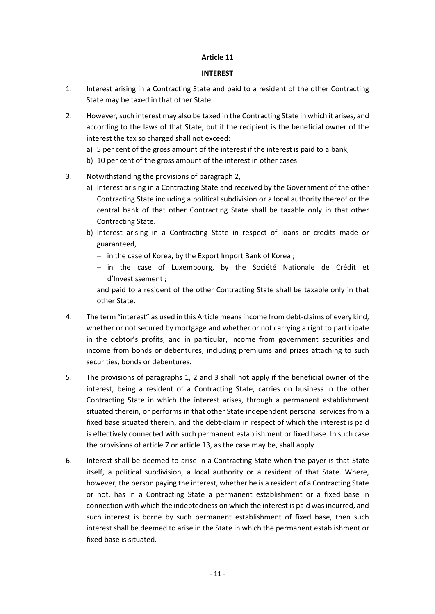#### **INTEREST**

- 1. Interest arising in a Contracting State and paid to a resident of the other Contracting State may be taxed in that other State.
- 2. However, such interest may also be taxed in the Contracting State in which it arises, and according to the laws of that State, but if the recipient is the beneficial owner of the interest the tax so charged shall not exceed:
	- a) 5 per cent of the gross amount of the interest if the interest is paid to a bank;
	- b) 10 per cent of the gross amount of the interest in other cases.
- 3. Notwithstanding the provisions of paragraph 2,
	- a) Interest arising in a Contracting State and received by the Government of the other Contracting State including a political subdivision or a local authority thereof or the central bank of that other Contracting State shall be taxable only in that other Contracting State.
	- b) Interest arising in a Contracting State in respect of loans or credits made or guaranteed,
		- $-$  in the case of Korea, by the Export Import Bank of Korea;
		- in the case of Luxembourg, by the Société Nationale de Crédit et d'Investissement ;

and paid to a resident of the other Contracting State shall be taxable only in that other State.

- 4. The term "interest" as used in this Article means income from debt-claims of every kind, whether or not secured by mortgage and whether or not carrying a right to participate in the debtor's profits, and in particular, income from government securities and income from bonds or debentures, including premiums and prizes attaching to such securities, bonds or debentures.
- 5. The provisions of paragraphs 1, 2 and 3 shall not apply if the beneficial owner of the interest, being a resident of a Contracting State, carries on business in the other Contracting State in which the interest arises, through a permanent establishment situated therein, or performs in that other State independent personal services from a fixed base situated therein, and the debt-claim in respect of which the interest is paid is effectively connected with such permanent establishment or fixed base. In such case the provisions of article 7 or article 13, as the case may be, shall apply.
- 6. Interest shall be deemed to arise in a Contracting State when the payer is that State itself, a political subdivision, a local authority or a resident of that State. Where, however, the person paying the interest, whether he is a resident of a Contracting State or not, has in a Contracting State a permanent establishment or a fixed base in connection with which the indebtedness on which the interest is paid was incurred, and such interest is borne by such permanent establishment of fixed base, then such interest shall be deemed to arise in the State in which the permanent establishment or fixed base is situated.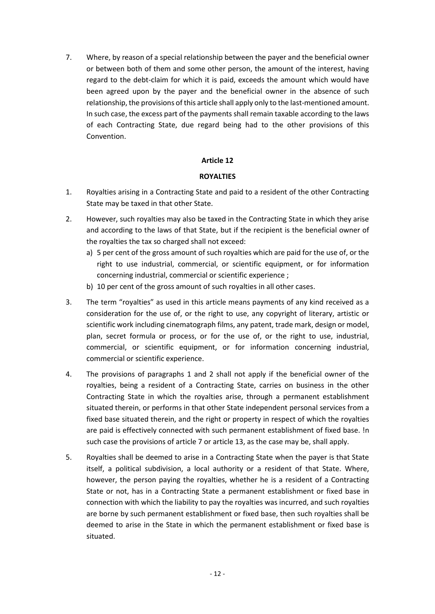7. Where, by reason of a special relationship between the payer and the beneficial owner or between both of them and some other person, the amount of the interest, having regard to the debt-claim for which it is paid, exceeds the amount which would have been agreed upon by the payer and the beneficial owner in the absence of such relationship, the provisions of this article shall apply only to the last-mentioned amount. In such case, the excess part of the payments shall remain taxable according to the laws of each Contracting State, due regard being had to the other provisions of this Convention.

### **Article 12**

# **ROYALTIES**

- 1. Royalties arising in a Contracting State and paid to a resident of the other Contracting State may be taxed in that other State.
- 2. However, such royalties may also be taxed in the Contracting State in which they arise and according to the laws of that State, but if the recipient is the beneficial owner of the royalties the tax so charged shall not exceed:
	- a) 5 per cent of the gross amount of such royalties which are paid for the use of, or the right to use industrial, commercial, or scientific equipment, or for information concerning industrial, commercial or scientific experience ;
	- b) 10 per cent of the gross amount of such royalties in all other cases.
- 3. The term "royalties" as used in this article means payments of any kind received as a consideration for the use of, or the right to use, any copyright of literary, artistic or scientific work including cinematograph films, any patent, trade mark, design or model, plan, secret formula or process, or for the use of, or the right to use, industrial, commercial, or scientific equipment, or for information concerning industrial, commercial or scientific experience.
- 4. The provisions of paragraphs 1 and 2 shall not apply if the beneficial owner of the royalties, being a resident of a Contracting State, carries on business in the other Contracting State in which the royalties arise, through a permanent establishment situated therein, or performs in that other State independent personal services from a fixed base situated therein, and the right or property in respect of which the royalties are paid is effectively connected with such permanent establishment of fixed base. !n such case the provisions of article 7 or article 13, as the case may be, shall apply.
- 5. Royalties shall be deemed to arise in a Contracting State when the payer is that State itself, a political subdivision, a local authority or a resident of that State. Where, however, the person paying the royalties, whether he is a resident of a Contracting State or not, has in a Contracting State a permanent establishment or fixed base in connection with which the liability to pay the royalties was incurred, and such royalties are borne by such permanent establishment or fixed base, then such royalties shall be deemed to arise in the State in which the permanent establishment or fixed base is situated.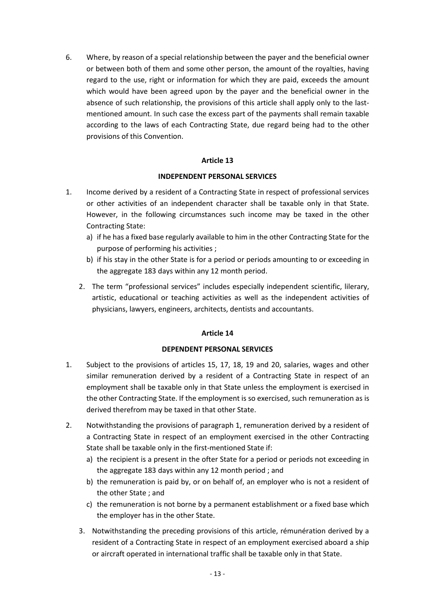6. Where, by reason of a special relationship between the payer and the beneficial owner or between both of them and some other person, the amount of the royalties, having regard to the use, right or information for which they are paid, exceeds the amount which would have been agreed upon by the payer and the beneficial owner in the absence of such relationship, the provisions of this article shall apply only to the lastmentioned amount. In such case the excess part of the payments shall remain taxable according to the laws of each Contracting State, due regard being had to the other provisions of this Convention.

### **Article 13**

#### **INDEPENDENT PERSONAL SERVICES**

- 1. Income derived by a resident of a Contracting State in respect of professional services or other activities of an independent character shall be taxable only in that State. However, in the following circumstances such income may be taxed in the other Contracting State:
	- a) if he has a fixed base regularly available to him in the other Contracting State for the purpose of performing his activities ;
	- b) if his stay in the other State is for a period or periods amounting to or exceeding in the aggregate 183 days within any 12 month period.
	- 2. The term "professional services" includes especially independent scientific, lilerary, artistic, educational or teaching activities as well as the independent activities of physicians, lawyers, engineers, architects, dentists and accountants.

# **Article 14**

#### **DEPENDENT PERSONAL SERVICES**

- 1. Subject to the provisions of articles 15, 17, 18, 19 and 20, salaries, wages and other similar remuneration derived by a resident of a Contracting State in respect of an employment shall be taxable only in that State unless the employment is exercised in the other Contracting State. If the employment is so exercised, such remuneration as is derived therefrom may be taxed in that other State.
- 2. Notwithstanding the provisions of paragraph 1, remuneration derived by a resident of a Contracting State in respect of an employment exercised in the other Contracting State shall be taxable only in the first-mentioned State if:
	- a) the recipient is a present in the ofter State for a period or periods not exceeding in the aggregate 183 days within any 12 month period ; and
	- b) the remuneration is paid by, or on behalf of, an employer who is not a resident of the other State ; and
	- c) the remuneration is not borne by a permanent establishment or a fixed base which the employer has in the other State.
	- 3. Notwithstanding the preceding provisions of this article, rémunération derived by a resident of a Contracting State in respect of an employment exercised aboard a ship or aircraft operated in international traffic shall be taxable only in that State.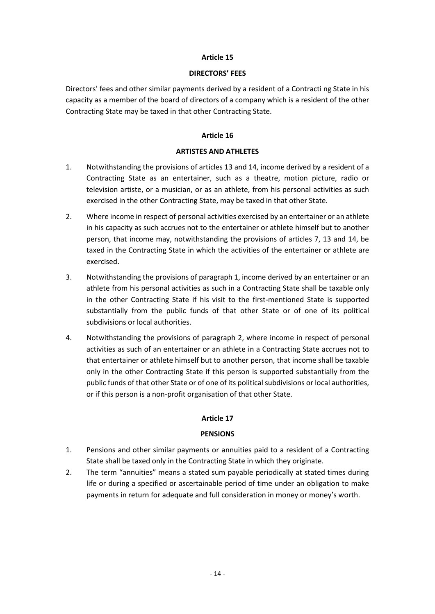### **DIRECTORS' FEES**

Directors' fees and other similar payments derived by a resident of a Contracti ng State in his capacity as a member of the board of directors of a company which is a resident of the other Contracting State may be taxed in that other Contracting State.

### **Article 16**

### **ARTISTES AND ATHLETES**

- 1. Notwithstanding the provisions of articles 13 and 14, income derived by a resident of a Contracting State as an entertainer, such as a theatre, motion picture, radio or television artiste, or a musician, or as an athlete, from his personal activities as such exercised in the other Contracting State, may be taxed in that other State.
- 2. Where income in respect of personal activities exercised by an entertainer or an athlete in his capacity as such accrues not to the entertainer or athlete himself but to another person, that income may, notwithstanding the provisions of articles 7, 13 and 14, be taxed in the Contracting State in which the activities of the entertainer or athlete are exercised.
- 3. Notwithstanding the provisions of paragraph 1, income derived by an entertainer or an athlete from his personal activities as such in a Contracting State shall be taxable only in the other Contracting State if his visit to the first-mentioned State is supported substantially from the public funds of that other State or of one of its political subdivisions or local authorities.
- 4. Notwithstanding the provisions of paragraph 2, where income in respect of personal activities as such of an entertainer or an athlete in a Contracting State accrues not to that entertainer or athlete himself but to another person, that income shall be taxable only in the other Contracting State if this person is supported substantially from the public funds of that other State or of one of its political subdivisions or local authorities, or if this person is a non-profit organisation of that other State.

# **Article 17**

# **PENSIONS**

- 1. Pensions and other similar payments or annuities paid to a resident of a Contracting State shall be taxed only in the Contracting State in which they originate.
- 2. The term "annuities" means a stated sum payable periodically at stated times during life or during a specified or ascertainable period of time under an obligation to make payments in return for adequate and full consideration in money or money's worth.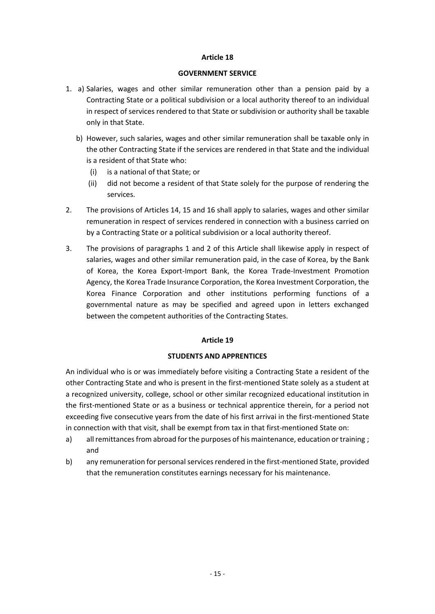#### **GOVERNMENT SERVICE**

- 1. a) Salaries, wages and other similar remuneration other than a pension paid by a Contracting State or a political subdivision or a local authority thereof to an individual in respect of services rendered to that State or subdivision or authority shall be taxable only in that State.
	- b) However, such salaries, wages and other similar remuneration shall be taxable only in the other Contracting State if the services are rendered in that State and the individual is a resident of that State who:
		- (i) is a national of that State; or
		- (ii) did not become a resident of that State solely for the purpose of rendering the services.
- 2. The provisions of Articles 14, 15 and 16 shall apply to salaries, wages and other similar remuneration in respect of services rendered in connection with a business carried on by a Contracting State or a political subdivision or a local authority thereof.
- 3. The provisions of paragraphs 1 and 2 of this Article shall likewise apply in respect of salaries, wages and other similar remuneration paid, in the case of Korea, by the Bank of Korea, the Korea Export-Import Bank, the Korea Trade-Investment Promotion Agency, the Korea Trade Insurance Corporation, the Korea Investment Corporation, the Korea Finance Corporation and other institutions performing functions of a governmental nature as may be specified and agreed upon in letters exchanged between the competent authorities of the Contracting States.

# **Article 19**

#### **STUDENTS AND APPRENTICES**

An individual who is or was immediately before visiting a Contracting State a resident of the other Contracting State and who is present in the first-mentioned State solely as a student at a recognized university, college, school or other similar recognized educational institution in the first-mentioned State or as a business or technical apprentice therein, for a period not exceeding five consecutive years from the date of his first arrivai in the first-mentioned State in connection with that visit, shall be exempt from tax in that first-mentioned State on:

- a) all remittances from abroad for the purposes of his maintenance, education or training; and
- b) any remuneration for personal services rendered in the first-mentioned State, provided that the remuneration constitutes earnings necessary for his maintenance.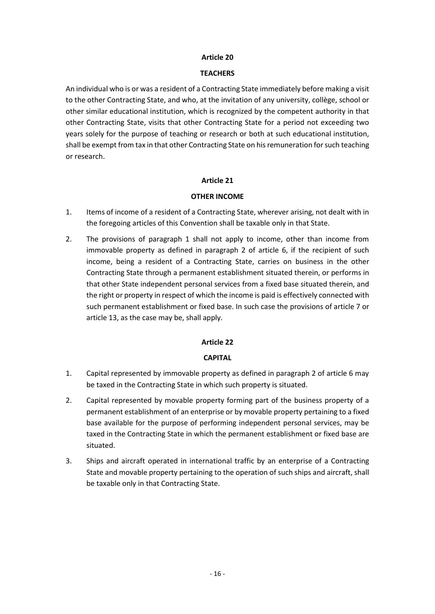### **TEACHERS**

An individual who is or was a resident of a Contracting State immediately before making a visit to the other Contracting State, and who, at the invitation of any university, collège, school or other similar educational institution, which is recognized by the competent authority in that other Contracting State, visits that other Contracting State for a period not exceeding two years solely for the purpose of teaching or research or both at such educational institution, shall be exempt from tax in that other Contracting State on his remuneration for such teaching or research.

# **Article 21**

# **OTHER INCOME**

- 1. Items of income of a resident of a Contracting State, wherever arising, not dealt with in the foregoing articles of this Convention shall be taxable only in that State.
- 2. The provisions of paragraph 1 shall not apply to income, other than income from immovable property as defined in paragraph 2 of article 6, if the recipient of such income, being a resident of a Contracting State, carries on business in the other Contracting State through a permanent establishment situated therein, or performs in that other State independent personal services from a fixed base situated therein, and the right or property in respect of which the income is paid is effectively connected with such permanent establishment or fixed base. In such case the provisions of article 7 or article 13, as the case may be, shall apply.

# **Article 22**

# **CAPITAL**

- 1. Capital represented by immovable property as defined in paragraph 2 of article 6 may be taxed in the Contracting State in which such property is situated.
- 2. Capital represented by movable property forming part of the business property of a permanent establishment of an enterprise or by movable property pertaining to a fixed base available for the purpose of performing independent personal services, may be taxed in the Contracting State in which the permanent establishment or fixed base are situated.
- 3. Ships and aircraft operated in international traffic by an enterprise of a Contracting State and movable property pertaining to the operation of such ships and aircraft, shall be taxable only in that Contracting State.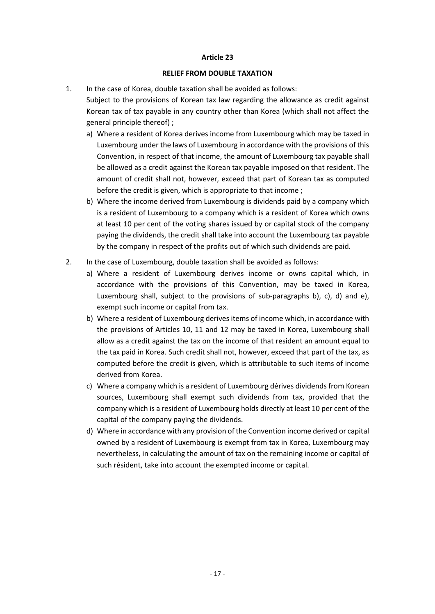#### **RELIEF FROM DOUBLE TAXATION**

1. In the case of Korea, double taxation shall be avoided as follows:

Subject to the provisions of Korean tax law regarding the allowance as credit against Korean tax of tax payable in any country other than Korea (which shall not affect the general principle thereof) ;

- a) Where a resident of Korea derives income from Luxembourg which may be taxed in Luxembourg under the laws of Luxembourg in accordance with the provisions of this Convention, in respect of that income, the amount of Luxembourg tax payable shall be allowed as a credit against the Korean tax payable imposed on that resident. The amount of credit shall not, however, exceed that part of Korean tax as computed before the credit is given, which is appropriate to that income ;
- b) Where the income derived from Luxembourg is dividends paid by a company which is a resident of Luxembourg to a company which is a resident of Korea which owns at least 10 per cent of the voting shares issued by or capital stock of the company paying the dividends, the credit shall take into account the Luxembourg tax payable by the company in respect of the profits out of which such dividends are paid.
- 2. In the case of Luxembourg, double taxation shall be avoided as follows:
	- a) Where a resident of Luxembourg derives income or owns capital which, in accordance with the provisions of this Convention, may be taxed in Korea, Luxembourg shall, subject to the provisions of sub-paragraphs b), c), d) and e), exempt such income or capital from tax.
	- b) Where a resident of Luxembourg derives items of income which, in accordance with the provisions of Articles 10, 11 and 12 may be taxed in Korea, Luxembourg shall allow as a credit against the tax on the income of that resident an amount equal to the tax paid in Korea. Such credit shall not, however, exceed that part of the tax, as computed before the credit is given, which is attributable to such items of income derived from Korea.
	- c) Where a company which is a resident of Luxembourg dérives dividends from Korean sources, Luxembourg shall exempt such dividends from tax, provided that the company which is a resident of Luxembourg holds directly at least 10 per cent of the capital of the company paying the dividends.
	- d) Where in accordance with any provision of the Convention income derived or capital owned by a resident of Luxembourg is exempt from tax in Korea, Luxembourg may nevertheless, in calculating the amount of tax on the remaining income or capital of such résident, take into account the exempted income or capital.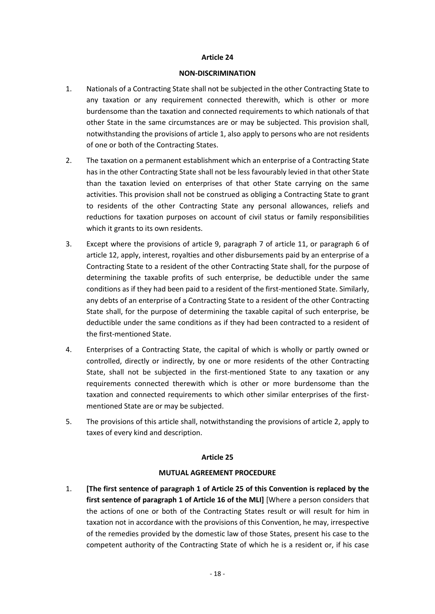#### **NON-DISCRIMINATION**

- 1. Nationals of a Contracting State shall not be subjected in the other Contracting State to any taxation or any requirement connected therewith, which is other or more burdensome than the taxation and connected requirements to which nationals of that other State in the same circumstances are or may be subjected. This provision shall, notwithstanding the provisions of article 1, also apply to persons who are not residents of one or both of the Contracting States.
- 2. The taxation on a permanent establishment which an enterprise of a Contracting State has in the other Contracting State shall not be less favourably levied in that other State than the taxation levied on enterprises of that other State carrying on the same activities. This provision shall not be construed as obliging a Contracting State to grant to residents of the other Contracting State any personal allowances, reliefs and reductions for taxation purposes on account of civil status or family responsibilities which it grants to its own residents.
- 3. Except where the provisions of article 9, paragraph 7 of article 11, or paragraph 6 of article 12, apply, interest, royalties and other disbursements paid by an enterprise of a Contracting State to a resident of the other Contracting State shall, for the purpose of determining the taxable profits of such enterprise, be deductible under the same conditions as if they had been paid to a resident of the first-mentioned State. Similarly, any debts of an enterprise of a Contracting State to a resident of the other Contracting State shall, for the purpose of determining the taxable capital of such enterprise, be deductible under the same conditions as if they had been contracted to a resident of the first-mentioned State.
- 4. Enterprises of a Contracting State, the capital of which is wholly or partly owned or controlled, directly or indirectly, by one or more residents of the other Contracting State, shall not be subjected in the first-mentioned State to any taxation or any requirements connected therewith which is other or more burdensome than the taxation and connected requirements to which other similar enterprises of the firstmentioned State are or may be subjected.
- 5. The provisions of this article shall, notwithstanding the provisions of article 2, apply to taxes of every kind and description.

#### **Article 25**

#### **MUTUAL AGREEMENT PROCEDURE**

1. **[The first sentence of paragraph 1 of Article 25 of this Convention is replaced by the first sentence of paragraph 1 of Article 16 of the MLI]** [Where a person considers that the actions of one or both of the Contracting States result or will result for him in taxation not in accordance with the provisions of this Convention, he may, irrespective of the remedies provided by the domestic law of those States, present his case to the competent authority of the Contracting State of which he is a resident or, if his case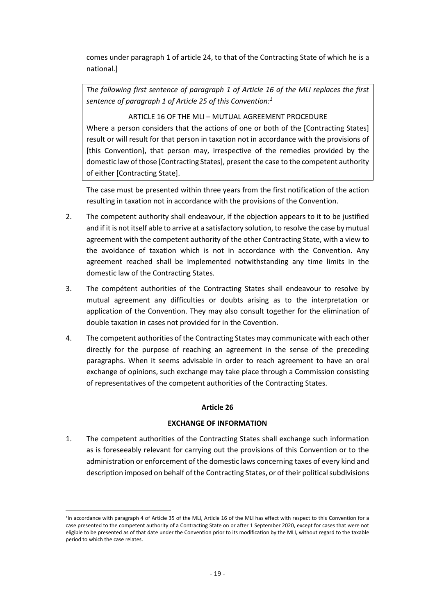comes under paragraph 1 of article 24, to that of the Contracting State of which he is a national.]

*The following first sentence of paragraph 1 of Article 16 of the MLI replaces the first sentence of paragraph 1 of Article 25 of this Convention:<sup>1</sup>*

ARTICLE 16 OF THE MLI – MUTUAL AGREEMENT PROCEDURE Where a person considers that the actions of one or both of the [Contracting States] result or will result for that person in taxation not in accordance with the provisions of [this Convention], that person may, irrespective of the remedies provided by the domestic law of those [Contracting States], present the case to the competent authority of either [Contracting State].

The case must be presented within three years from the first notification of the action resulting in taxation not in accordance with the provisions of the Convention.

- 2. The competent authority shall endeavour, if the objection appears to it to be justified and if it is not itself able to arrive at a satisfactory solution, to resolve the case by mutual agreement with the competent authority of the other Contracting State, with a view to the avoidance of taxation which is not in accordance with the Convention. Any agreement reached shall be implemented notwithstanding any time limits in the domestic law of the Contracting States.
- 3. The compétent authorities of the Contracting States shall endeavour to resolve by mutual agreement any difficulties or doubts arising as to the interpretation or application of the Convention. They may also consult together for the elimination of double taxation in cases not provided for in the Covention.
- 4. The competent authorities of the Contracting States may communicate with each other directly for the purpose of reaching an agreement in the sense of the preceding paragraphs. When it seems advisable in order to reach agreement to have an oral exchange of opinions, such exchange may take place through a Commission consisting of representatives of the competent authorities of the Contracting States.

# **Article 26**

# **EXCHANGE OF INFORMATION**

1. The competent authorities of the Contracting States shall exchange such information as is foreseeably relevant for carrying out the provisions of this Convention or to the administration or enforcement of the domestic laws concerning taxes of every kind and description imposed on behalf of the Contracting States, or of their political subdivisions

1

<sup>1</sup> In accordance with paragraph 4 of Article 35 of the MLI, Article 16 of the MLI has effect with respect to this Convention for a case presented to the competent authority of a Contracting State on or after 1 September 2020, except for cases that were not eligible to be presented as of that date under the Convention prior to its modification by the MLI, without regard to the taxable period to which the case relates.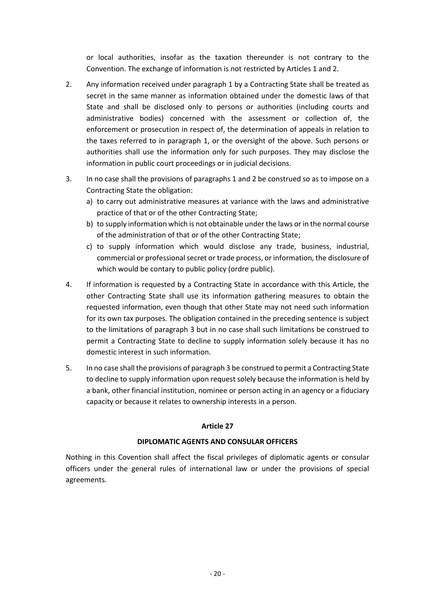or local authorities, insofar as the taxation thereunder is not contrary to the Convention. The exchange of information is not restricted by Articles 1 and 2.

- 2. Any information received under paragraph 1 by a Contracting State shall be treated as secret in the same manner as information obtained under the domestic laws of that State and shall be disclosed only to persons or authorities (including courts and administrative bodies) concerned with the assessment or collection of, the enforcement or prosecution in respect of, the determination of appeals in relation to the taxes referred to in paragraph 1, or the oversight of the above. Such persons or authorities shall use the information only for such purposes. They may disclose the information in public court proceedings or in judicial decisions.
- 3. In no case shall the provisions of paragraphs 1 and 2 be construed so as to impose on a Contracting State the obligation:
	- a) to carry out administrative measures at variance with the laws and administrative practice of that or of the other Contracting State;
	- b) to supply information which is not obtainable under the laws or in the normal course of the administration of that or of the other Contracting State;
	- c) to supply information which would disclose any trade, business, industrial, commercial or professional secret or trade process, or information, the disclosure of which would be contary to public policy (ordre public).
- 4. If information is requested by a Contracting State in accordance with this Article, the other Contracting State shall use its information gathering measures to obtain the requested information, even though that other State may not need such information for its own tax purposes. The obligation contained in the preceding sentence is subject to the limitations of paragraph 3 but in no case shall such limitations be construed to permit a Contracting State to decline to supply information solely because it has no domestic interest in such information.
- 5. In no case shall the provisions of paragraph 3 be construed to permit a Contracting State to decline to supply information upon request solely because the information is held by a bank, other financial institution, nominee or person acting in an agency or a fiduciary capacity or because it relates to ownership interests in a person.

# **Article 27**

#### **DIPLOMATIC AGENTS AND CONSULAR OFFICERS**

Nothing in this Covention shall affect the fiscal privileges of diplomatic agents or consular officers under the general rules of international law or under the provisions of special agreements.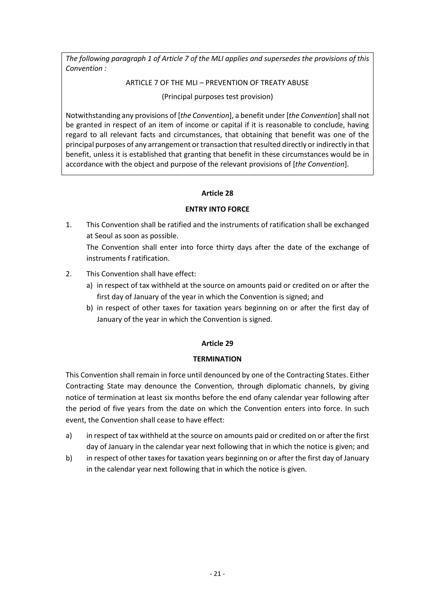*The following paragraph 1 of Article 7 of the MLI applies and supersedes the provisions of this Convention :*

# ARTICLE 7 OF THE MLI – PREVENTION OF TREATY ABUSE

(Principal purposes test provision)

Notwithstanding any provisions of [*the Convention*], a benefit under [*the Convention*]shall not be granted in respect of an item of income or capital if it is reasonable to conclude, having regard to all relevant facts and circumstances, that obtaining that benefit was one of the principal purposes of any arrangement or transaction that resulted directly or indirectly in that benefit, unless it is established that granting that benefit in these circumstances would be in accordance with the object and purpose of the relevant provisions of [*the Convention*].

# **Article 28**

# **ENTRY INTO FORCE**

1. This Convention shall be ratified and the instruments of ratification shall be exchanged at Seoul as soon as possible.

The Convention shall enter into force thirty days after the date of the exchange of instruments f ratification.

- 2. This Convention shall have effect:
	- a) in respect of tax withheld at the source on amounts paid or credited on or after the first day of January of the year in which the Convention is signed; and
	- b) in respect of other taxes for taxation years beginning on or after the first day of January of the year in which the Convention is signed.

# **Article 29**

# **TERMINATION**

This Convention shall remain in force until denounced by one of the Contracting States. Either Contracting State may denounce the Convention, through diplomatic channels, by giving notice of termination at least six months before the end ofany calendar year following after the period of five years from the date on which the Convention enters into force. In such event, the Convention shall cease to have effect:

- a) in respect of tax withheld at the source on amounts paid or credited on or after the first day of January in the calendar year next following that in which the notice is given; and
- b) in respect of other taxes for taxation years beginning on or after the first day of January in the calendar year next following that in which the notice is given.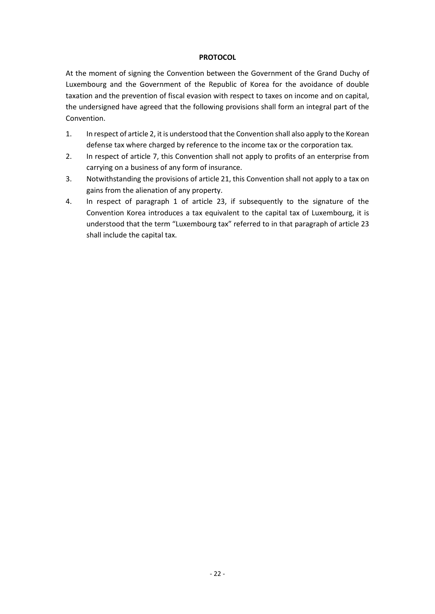### **PROTOCOL**

At the moment of signing the Convention between the Government of the Grand Duchy of Luxembourg and the Government of the Republic of Korea for the avoidance of double taxation and the prevention of fiscal evasion with respect to taxes on income and on capital, the undersigned have agreed that the following provisions shall form an integral part of the Convention.

- 1. In respect of article 2, it is understood that the Convention shall also apply to the Korean defense tax where charged by reference to the income tax or the corporation tax.
- 2. In respect of article 7, this Convention shall not apply to profits of an enterprise from carrying on a business of any form of insurance.
- 3. Notwithstanding the provisions of article 21, this Convention shall not apply to a tax on gains from the alienation of any property.
- 4. In respect of paragraph 1 of article 23, if subsequently to the signature of the Convention Korea introduces a tax equivalent to the capital tax of Luxembourg, it is understood that the term "Luxembourg tax" referred to in that paragraph of article 23 shall include the capital tax.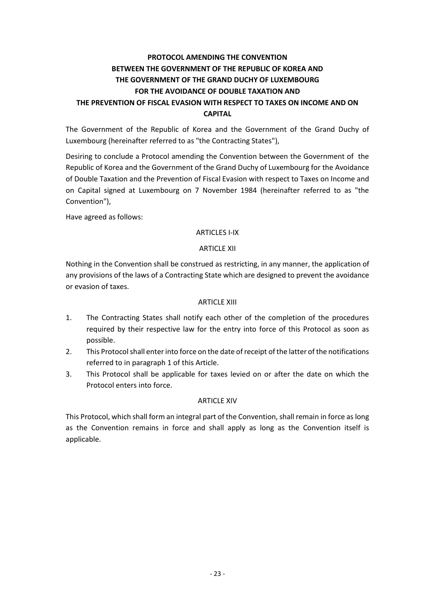# **PROTOCOL AMENDING THE CONVENTION BETWEEN THE GOVERNMENT OF THE REPUBLIC OF KOREA AND THE GOVERNMENT OF THE GRAND DUCHY OF LUXEMBOURG FOR THE AVOIDANCE OF DOUBLE TAXATION AND THE PREVENTION OF FISCAL EVASION WITH RESPECT TO TAXES ON INCOME AND ON CAPITAL**

The Government of the Republic of Korea and the Government of the Grand Duchy of Luxembourg (hereinafter referred to as "the Contracting States"),

Desiring to conclude a Protocol amending the Convention between the Government of the Republic of Korea and the Government of the Grand Duchy of Luxembourg for the Avoidance of Double Taxation and the Prevention of Fiscal Evasion with respect to Taxes on Income and on Capital signed at Luxembourg on 7 November 1984 (hereinafter referred to as "the Convention"),

Have agreed as follows:

### ARTICLES I-IX

### **ARTICLE XII**

Nothing in the Convention shall be construed as restricting, in any manner, the application of any provisions of the laws of a Contracting State which are designed to prevent the avoidance or evasion of taxes.

### ARTICLE XIII

- 1. The Contracting States shall notify each other of the completion of the procedures required by their respective law for the entry into force of this Protocol as soon as possible.
- 2. This Protocol shall enter into force on the date of receipt of the latter of the notifications referred to in paragraph 1 of this Article.
- 3. This Protocol shall be applicable for taxes levied on or after the date on which the Protocol enters into force.

# ARTICLE XIV

This Protocol, which shall form an integral part of the Convention, shall remain in force as long as the Convention remains in force and shall apply as long as the Convention itself is applicable.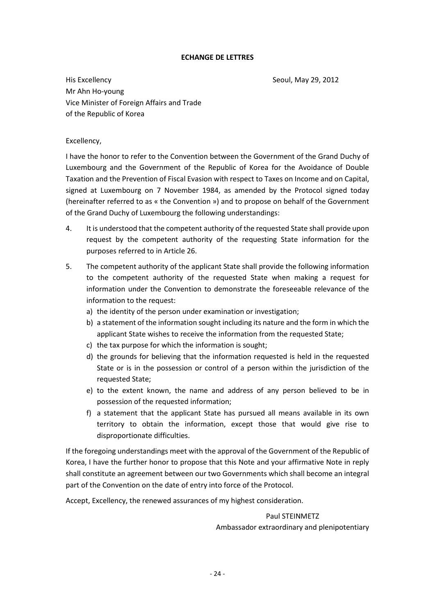#### **ECHANGE DE LETTRES**

His Excellency **Seoul, May 29, 2012** Mr Ahn Ho-young Vice Minister of Foreign Affairs and Trade of the Republic of Korea

### Excellency,

I have the honor to refer to the Convention between the Government of the Grand Duchy of Luxembourg and the Government of the Republic of Korea for the Avoidance of Double Taxation and the Prevention of Fiscal Evasion with respect to Taxes on Income and on Capital, signed at Luxembourg on 7 November 1984, as amended by the Protocol signed today (hereinafter referred to as « the Convention ») and to propose on behalf of the Government of the Grand Duchy of Luxembourg the following understandings:

- 4. It is understood that the competent authority of the requested State shall provide upon request by the competent authority of the requesting State information for the purposes referred to in Article 26.
- 5. The competent authority of the applicant State shall provide the following information to the competent authority of the requested State when making a request for information under the Convention to demonstrate the foreseeable relevance of the information to the request:
	- a) the identity of the person under examination or investigation;
	- b) a statement of the information sought including its nature and the form in which the applicant State wishes to receive the information from the requested State;
	- c) the tax purpose for which the information is sought;
	- d) the grounds for believing that the information requested is held in the requested State or is in the possession or control of a person within the jurisdiction of the requested State;
	- e) to the extent known, the name and address of any person believed to be in possession of the requested information;
	- f) a statement that the applicant State has pursued all means available in its own territory to obtain the information, except those that would give rise to disproportionate difficulties.

If the foregoing understandings meet with the approval of the Government of the Republic of Korea, I have the further honor to propose that this Note and your affirmative Note in reply shall constitute an agreement between our two Governments which shall become an integral part of the Convention on the date of entry into force of the Protocol.

Accept, Excellency, the renewed assurances of my highest consideration.

#### Paul STEINMETZ

Ambassador extraordinary and plenipotentiary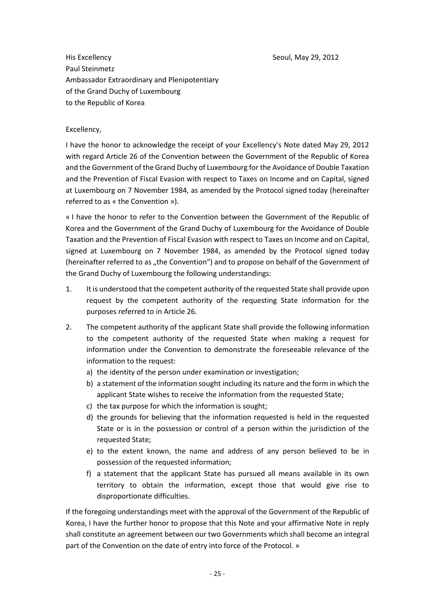His Excellency **Secure 2012** Seoul, May 29, 2012 Paul Steinmetz Ambassador Extraordinary and Plenipotentiary of the Grand Duchy of Luxembourg to the Republic of Korea

### Excellency,

I have the honor to acknowledge the receipt of your Excellency's Note dated May 29, 2012 with regard Article 26 of the Convention between the Government of the Republic of Korea and the Government of the Grand Duchy of Luxembourg for the Avoidance of Double Taxation and the Prevention of Fiscal Evasion with respect to Taxes on Income and on Capital, signed at Luxembourg on 7 November 1984, as amended by the Protocol signed today (hereinafter referred to as « the Convention »).

« I have the honor to refer to the Convention between the Government of the Republic of Korea and the Government of the Grand Duchy of Luxembourg for the Avoidance of Double Taxation and the Prevention of Fiscal Evasion with respect to Taxes on Income and on Capital, signed at Luxembourg on 7 November 1984, as amended by the Protocol signed today (hereinafter referred to as "the Convention") and to propose on behalf of the Government of the Grand Duchy of Luxembourg the following understandings:

- 1. It is understood that the competent authority of the requested State shall provide upon request by the competent authority of the requesting State information for the purposes referred to in Article 26.
- 2. The competent authority of the applicant State shall provide the following information to the competent authority of the requested State when making a request for information under the Convention to demonstrate the foreseeable relevance of the information to the request:
	- a) the identity of the person under examination or investigation;
	- b) a statement of the information sought including its nature and the form in which the applicant State wishes to receive the information from the requested State;
	- c) the tax purpose for which the information is sought;
	- d) the grounds for believing that the information requested is held in the requested State or is in the possession or control of a person within the jurisdiction of the requested State;
	- e) to the extent known, the name and address of any person believed to be in possession of the requested information;
	- f) a statement that the applicant State has pursued all means available in its own territory to obtain the information, except those that would give rise to disproportionate difficulties.

If the foregoing understandings meet with the approval of the Government of the Republic of Korea, I have the further honor to propose that this Note and your affirmative Note in reply shall constitute an agreement between our two Governments which shall become an integral part of the Convention on the date of entry into force of the Protocol. »